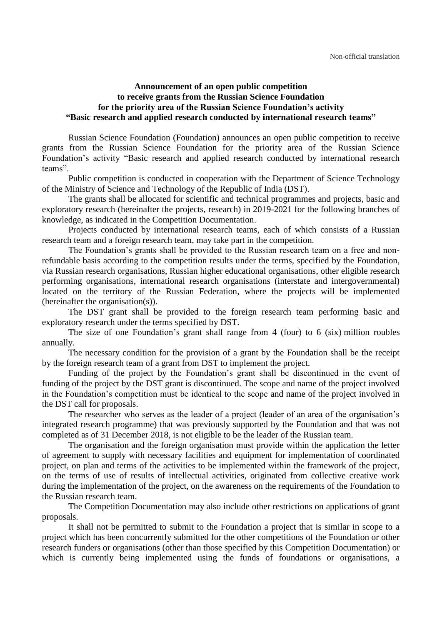## **Announcement of an open public competition to receive grants from the Russian Science Foundation for the priority area of the Russian Science Foundation's activity "Basic research and applied research conducted by international research teams"**

Russian Science Foundation (Foundation) announces an open public competition to receive grants from the Russian Science Foundation for the priority area of the Russian Science Foundation's activity "Basic research and applied research conducted by international research teams".

Public competition is conducted in cooperation with the Department of Science Technology of the Ministry of Science and Technology of the Republic of India (DST).

The grants shall be allocated for scientific and technical programmes and projects, basic and exploratory research (hereinafter the projects, research) in 2019-2021 for the following branches of knowledge, as indicated in the Competition Documentation.

Projects conducted by international research teams, each of which consists of a Russian research team and a foreign research team, may take part in the competition.

The Foundation's grants shall be provided to the Russian research team on a free and nonrefundable basis according to the competition results under the terms, specified by the Foundation, via Russian research organisations, Russian higher educational organisations, other eligible research performing organisations, international research organisations (interstate and intergovernmental) located on the territory of the Russian Federation, where the projects will be implemented (hereinafter the organisation(s)).

The DST grant shall be provided to the foreign research team performing basic and exploratory research under the terms specified by DST.

The size of one Foundation's grant shall range from 4 (four) to 6 (six) million roubles annually.

The necessary condition for the provision of a grant by the Foundation shall be the receipt by the foreign research team of a grant from DST to implement the project.

Funding of the project by the Foundation's grant shall be discontinued in the event of funding of the project by the DST grant is discontinued. The scope and name of the project involved in the Foundation's competition must be identical to the scope and name of the project involved in the DST call for proposals.

The researcher who serves as the leader of a project (leader of an area of the organisation's integrated research programme) that was previously supported by the Foundation and that was not completed as of 31 December 2018, is not eligible to be the leader of the Russian team.

The organisation and the foreign organisation must provide within the application the letter of agreement to supply with necessary facilities and equipment for implementation of coordinated project, on plan and terms of the activities to be implemented within the framework of the project, on the terms of use of results of intellectual activities, originated from collective creative work during the implementation of the project, on the awareness on the requirements of the Foundation to the Russian research team.

The Competition Documentation may also include other restrictions on applications of grant proposals.

It shall not be permitted to submit to the Foundation a project that is similar in scope to a project which has been concurrently submitted for the other competitions of the Foundation or other research funders or organisations (other than those specified by this Competition Documentation) or which is currently being implemented using the funds of foundations or organisations, a